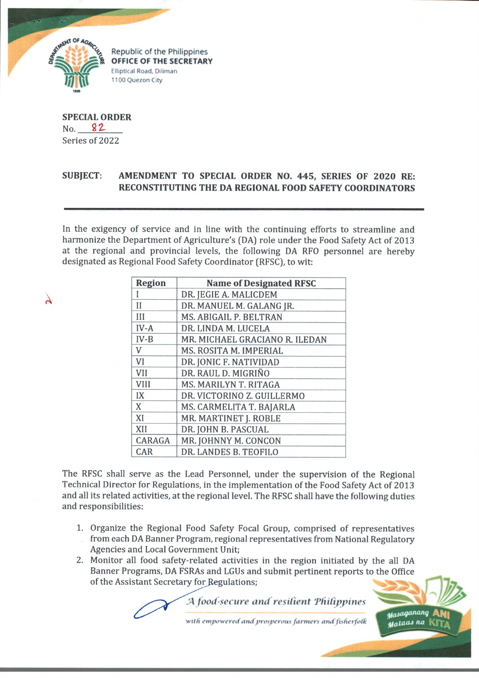

**Republic of the Philippines OFFICE OF THE SECRETARY Elliptical Road, Diliman 1100 Quezon City**

**SPECIAL ORDER** No. 82. Series of 2022

## **SUBJECT: AMENDMENT TO SPECIAL ORDER NO. 445, SERIES OF 2020 RE: RECONSTITUTING THE DA REGIONAL FOOD SAFETY COORDINATORS**

In the exigency of service and in line with the continuing efforts to streamline and harmonize the Department of Agriculture's (DA) role under the Food Safety Act of 2013 at the regional and provincial levels, the following DA RFO personnel are hereby designated as Regional Food Safety Coordinator (RFSC), to wit:

 $\lambda$ 

| Region       | <b>Name of Designated RFSC</b> |
|--------------|--------------------------------|
| I            | DR. JEGIE A. MALICDEM          |
| $\mathbf{H}$ | DR. MANUEL M. GALANG JR.       |
| Ш            | MS. ABIGAIL P. BELTRAN         |
| $IV-A$       | DR. LINDA M. LUCELA            |
| $IV-B$       | MR. MICHAEL GRACIANO R. ILEDAN |
| V            | MS. ROSITA M. IMPERIAL         |
| VI           | DR. JONIC F. NATIVIDAD         |
| VII          | DR. RAUL D. MIGRIÑO            |
| VIII         | MS. MARILYN T. RITAGA          |
| IX           | DR. VICTORINO Z. GUILLERMO     |
| X            | MS. CARMELITA T. BAJARLA       |
| XI           | MR. MARTINET J. ROBLE          |
| XII          | DR. JOHN B. PASCUAL            |
| CARAGA       | MR. JOHNNY M. CONCON           |
| CAR          | DR. LANDES B. TEOFILO          |

The RFSC shall serve as the Lead Personnel, under the supervision of the Regional Technical Director for Regulations, in the implementation of the Food Safety Act of 2013 and all its related activities, at the regional level. The RFSC shall have the following duties and responsibilities:

- 1. Organize the Regional Food Safety Focal Group, comprised of representatives from each DA Banner Program, regional representatives from National Regulatory Agencies and Local Government Unit;
- **2.** Monitor all food safety-related activities in the region initiated by the all DA Banner Programs, DA FSRAs and LGUs and submit pertinent reports to the Office of the Assistant Secretary for Regulations;

*.'A food-secure and resident 'Philippines*

*wait* **ropw w cm f** *am fprosperous fanners atuffistierfafk*